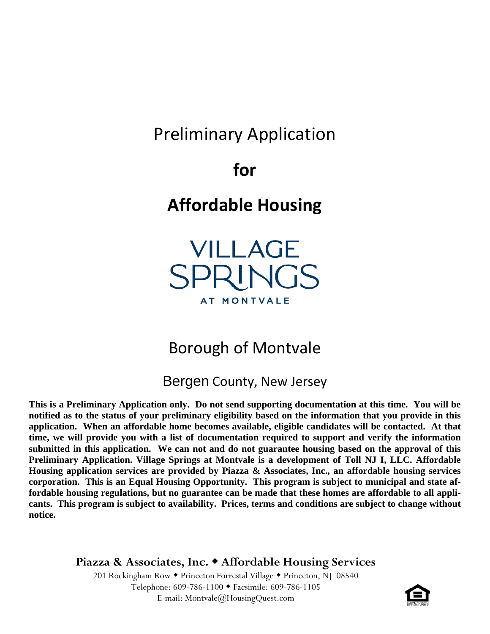# Preliminary Application

**for** 

# **Affordable Housing**

VILLAGE SPRINGS AT MONTVALE

# Borough of Montvale

Bergen County, New Jersey

**This is a Preliminary Application only. Do not send supporting documentation at this time. You will be notified as to the status of your preliminary eligibility based on the information that you provide in this application. When an affordable home becomes available, eligible candidates will be contacted. At that time, we will provide you with a list of documentation required to support and verify the information submitted in this application. We can not and do not guarantee housing based on the approval of this Preliminary Application. Village Springs at Montvale is a development of Toll NJ I, LLC. Affordable Housing application services are provided by Piazza & Associates, Inc., an affordable housing services corporation. This is an Equal Housing Opportunity. This program is subject to municipal and state affordable housing regulations, but no guarantee can be made that these homes are affordable to all applicants. This program is subject to availability. Prices, terms and conditions are subject to change without notice.**

**Piazza & Associates, Inc. Affordable Housing Services**

201 Rockingham Row • Princeton Forrestal Village • Princeton, NJ 08540 Telephone: 609-786-1100 Facsimile: 609-786-1105 E-mail: Montvale@HousingQuest.com

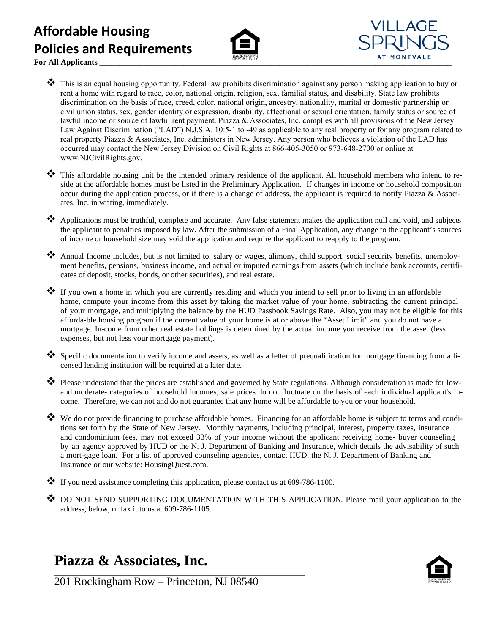## **Affordable Housing Policies and Requirements**





**For All Applicants \_\_\_\_\_\_\_\_\_\_\_\_\_\_\_\_\_\_\_\_\_\_\_\_\_\_\_\_\_\_\_\_\_\_\_\_\_\_\_\_\_\_\_\_\_\_\_\_\_\_\_\_\_\_\_\_\_\_\_\_\_\_\_\_\_\_\_\_\_\_\_\_\_\_\_\_\_\_\_\_\_\_\_\_\_\_\_\_**

- This is an equal housing opportunity. Federal law prohibits discrimination against any person making application to buy or rent a home with regard to race, color, national origin, religion, sex, familial status, and disability. State law prohibits discrimination on the basis of race, creed, color, national origin, ancestry, nationality, marital or domestic partnership or civil union status, sex, gender identity or expression, disability, affectional or sexual orientation, family status or source of lawful income or source of lawful rent payment. Piazza & Associates, Inc. complies with all provisions of the New Jersey Law Against Discrimination ("LAD") N.J.S.A. 10:5-1 to -49 as applicable to any real property or for any program related to real property Piazza & Associates, Inc. administers in New Jersey. Any person who believes a violation of the LAD has occurred may contact the New Jersey Division on Civil Rights at 866-405-3050 or 973-648-2700 or online at www.NJCivilRights.gov.
- This affordable housing unit be the intended primary residence of the applicant. All household members who intend to reside at the affordable homes must be listed in the Preliminary Application. If changes in income or household composition occur during the application process, or if there is a change of address, the applicant is required to notify Piazza & Associates, Inc. in writing, immediately.
- ◆ Applications must be truthful, complete and accurate. Any false statement makes the application null and void, and subjects the applicant to penalties imposed by law. After the submission of a Final Application, any change to the applicant's sources of income or household size may void the application and require the applicant to reapply to the program.
- Annual Income includes, but is not limited to, salary or wages, alimony, child support, social security benefits, unemployment benefits, pensions, business income, and actual or imputed earnings from assets (which include bank accounts, certificates of deposit, stocks, bonds, or other securities), and real estate.
- If you own a home in which you are currently residing and which you intend to sell prior to living in an affordable home, compute your income from this asset by taking the market value of your home, subtracting the current principal of your mortgage, and multiplying the balance by the HUD Passbook Savings Rate. Also, you may not be eligible for this afforda-ble housing program if the current value of your home is at or above the "Asset Limit" and you do not have a mortgage. In-come from other real estate holdings is determined by the actual income you receive from the asset (less expenses, but not less your mortgage payment).
- Specific documentation to verify income and assets, as well as a letter of prequalification for mortgage financing from a licensed lending institution will be required at a later date.
- Please understand that the prices are established and governed by State regulations. Although consideration is made for lowand moderate- categories of household incomes, sale prices do not fluctuate on the basis of each individual applicant's income. Therefore, we can not and do not guarantee that any home will be affordable to you or your household.
- We do not provide financing to purchase affordable homes. Financing for an affordable home is subject to terms and conditions set forth by the State of New Jersey. Monthly payments, including principal, interest, property taxes, insurance and condominium fees, may not exceed 33% of your income without the applicant receiving home- buyer counseling by an agency approved by HUD or the N. J. Department of Banking and Insurance, which details the advisability of such a mort-gage loan. For a list of approved counseling agencies, contact HUD, the N. J. Department of Banking and Insurance or our website: HousingQuest.com.
- If you need assistance completing this application, please contact us at  $609-786-1100$ .
- ◆ DO NOT SEND SUPPORTING DOCUMENTATION WITH THIS APPLICATION. Please mail your application to the address, below, or fax it to us at 609-786-1105.

## **Piazza & Associates, Inc.**